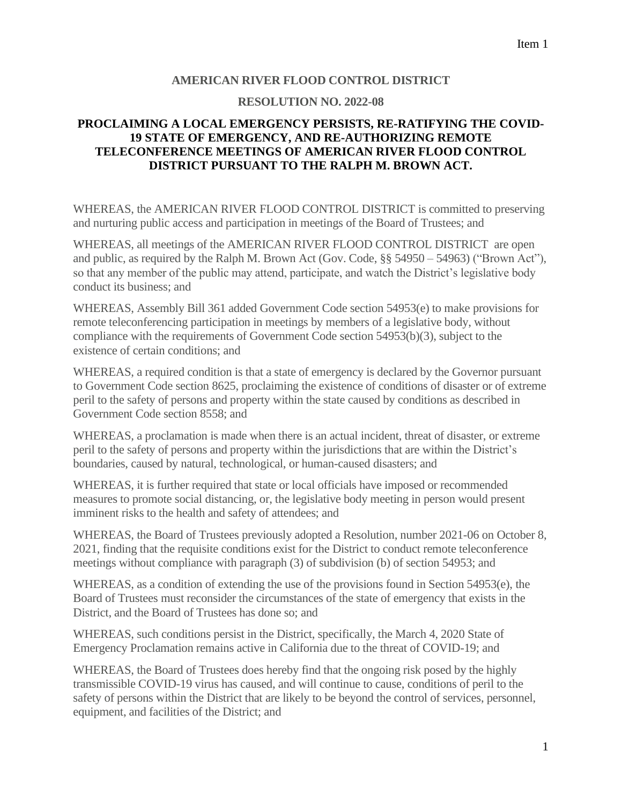## **AMERICAN RIVER FLOOD CONTROL DISTRICT**

## **RESOLUTION NO. 2022-08**

## **PROCLAIMING A LOCAL EMERGENCY PERSISTS, RE-RATIFYING THE COVID-19 STATE OF EMERGENCY, AND RE-AUTHORIZING REMOTE TELECONFERENCE MEETINGS OF AMERICAN RIVER FLOOD CONTROL DISTRICT PURSUANT TO THE RALPH M. BROWN ACT.**

WHEREAS, the AMERICAN RIVER FLOOD CONTROL DISTRICT is committed to preserving and nurturing public access and participation in meetings of the Board of Trustees; and

WHEREAS, all meetings of the AMERICAN RIVER FLOOD CONTROL DISTRICT are open and public, as required by the Ralph M. Brown Act (Gov. Code, §§ 54950 – 54963) ("Brown Act"), so that any member of the public may attend, participate, and watch the District's legislative body conduct its business; and

WHEREAS, Assembly Bill 361 added Government Code section 54953(e) to make provisions for remote teleconferencing participation in meetings by members of a legislative body, without compliance with the requirements of Government Code section 54953(b)(3), subject to the existence of certain conditions; and

WHEREAS, a required condition is that a state of emergency is declared by the Governor pursuant to Government Code section 8625, proclaiming the existence of conditions of disaster or of extreme peril to the safety of persons and property within the state caused by conditions as described in Government Code section 8558; and

WHEREAS, a proclamation is made when there is an actual incident, threat of disaster, or extreme peril to the safety of persons and property within the jurisdictions that are within the District's boundaries, caused by natural, technological, or human-caused disasters; and

WHEREAS, it is further required that state or local officials have imposed or recommended measures to promote social distancing, or, the legislative body meeting in person would present imminent risks to the health and safety of attendees; and

WHEREAS, the Board of Trustees previously adopted a Resolution, number 2021-06 on October 8, 2021, finding that the requisite conditions exist for the District to conduct remote teleconference meetings without compliance with paragraph (3) of subdivision (b) of section 54953; and

WHEREAS, as a condition of extending the use of the provisions found in Section 54953(e), the Board of Trustees must reconsider the circumstances of the state of emergency that exists in the District, and the Board of Trustees has done so; and

WHEREAS, such conditions persist in the District, specifically, the March 4, 2020 State of Emergency Proclamation remains active in California due to the threat of COVID-19; and

WHEREAS, the Board of Trustees does hereby find that the ongoing risk posed by the highly transmissible COVID-19 virus has caused, and will continue to cause, conditions of peril to the safety of persons within the District that are likely to be beyond the control of services, personnel, equipment, and facilities of the District; and